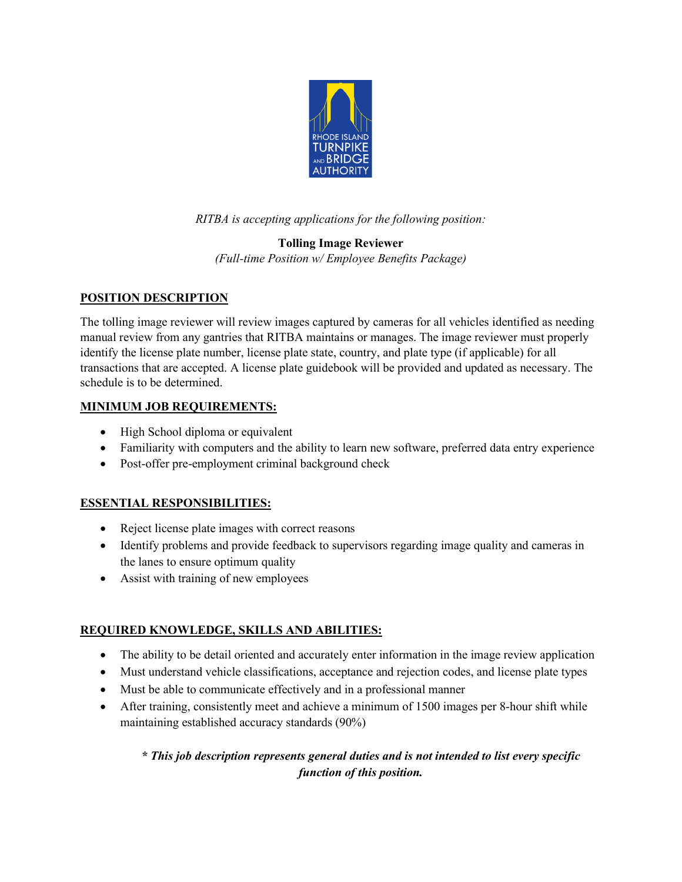

*RITBA is accepting applications for the following position:*

# **Tolling Image Reviewer**

*(Full-time Position w/ Employee Benefits Package)*

### **POSITION DESCRIPTION**

The tolling image reviewer will review images captured by cameras for all vehicles identified as needing manual review from any gantries that RITBA maintains or manages. The image reviewer must properly identify the license plate number, license plate state, country, and plate type (if applicable) for all transactions that are accepted. A license plate guidebook will be provided and updated as necessary. The schedule is to be determined.

#### **MINIMUM JOB REQUIREMENTS:**

- High School diploma or equivalent
- Familiarity with computers and the ability to learn new software, preferred data entry experience
- Post-offer pre-employment criminal background check

#### **ESSENTIAL RESPONSIBILITIES:**

- Reject license plate images with correct reasons
- Identify problems and provide feedback to supervisors regarding image quality and cameras in the lanes to ensure optimum quality
- Assist with training of new employees

## **REQUIRED KNOWLEDGE, SKILLS AND ABILITIES:**

- The ability to be detail oriented and accurately enter information in the image review application
- Must understand vehicle classifications, acceptance and rejection codes, and license plate types
- Must be able to communicate effectively and in a professional manner
- After training, consistently meet and achieve a minimum of 1500 images per 8-hour shift while maintaining established accuracy standards (90%)

#### *\* This job description represents general duties and is not intended to list every specific function of this position.*